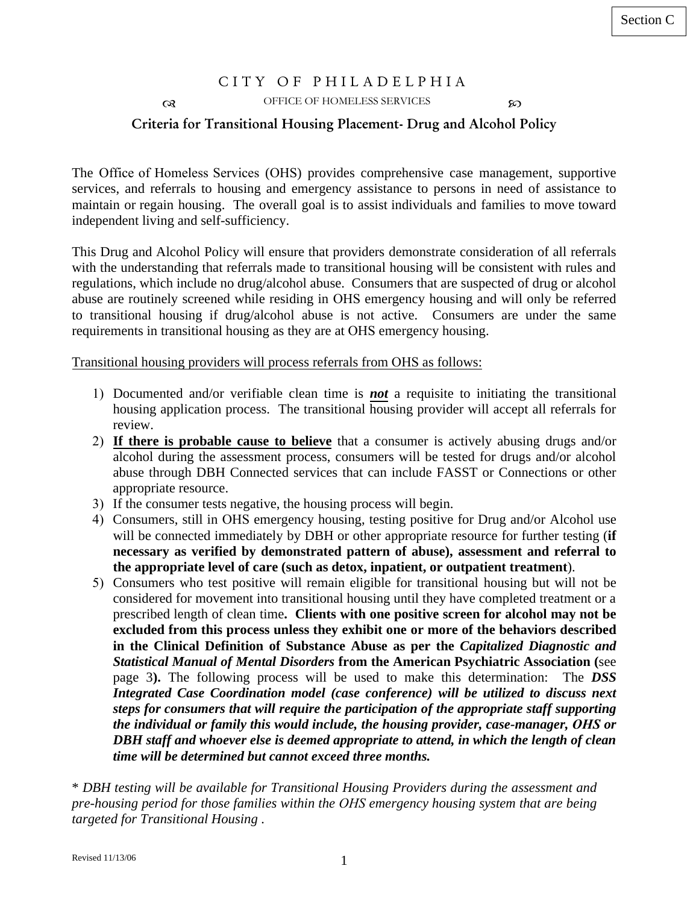## CITY OF PHILADELPHIA OFFICE OF HOMELESS SERVICES **Criteria for Transitional Housing Placement- Drug and Alcohol Policy**

The Office of Homeless Services (OHS) provides comprehensive case management, supportive services, and referrals to housing and emergency assistance to persons in need of assistance to maintain or regain housing. The overall goal is to assist individuals and families to move toward independent living and self-sufficiency.

This Drug and Alcohol Policy will ensure that providers demonstrate consideration of all referrals with the understanding that referrals made to transitional housing will be consistent with rules and regulations, which include no drug/alcohol abuse. Consumers that are suspected of drug or alcohol abuse are routinely screened while residing in OHS emergency housing and will only be referred to transitional housing if drug/alcohol abuse is not active. Consumers are under the same requirements in transitional housing as they are at OHS emergency housing.

Transitional housing providers will process referrals from OHS as follows:

- 1) Documented and/or verifiable clean time is *not* a requisite to initiating the transitional housing application process. The transitional housing provider will accept all referrals for review.
- 2) **If there is probable cause to believe** that a consumer is actively abusing drugs and/or alcohol during the assessment process, consumers will be tested for drugs and/or alcohol abuse through DBH Connected services that can include FASST or Connections or other appropriate resource.
- 3) If the consumer tests negative, the housing process will begin.
- 4) Consumers, still in OHS emergency housing, testing positive for Drug and/or Alcohol use will be connected immediately by DBH or other appropriate resource for further testing (**if necessary as verified by demonstrated pattern of abuse), assessment and referral to the appropriate level of care (such as detox, inpatient, or outpatient treatment**).
- 5) Consumers who test positive will remain eligible for transitional housing but will not be considered for movement into transitional housing until they have completed treatment or a prescribed length of clean time**. Clients with one positive screen for alcohol may not be excluded from this process unless they exhibit one or more of the behaviors described in the Clinical Definition of Substance Abuse as per the** *Capitalized Diagnostic and Statistical Manual of Mental Disorders* **from the American Psychiatric Association (**see page 3**).** The following process will be used to make this determination: The *DSS Integrated Case Coordination model (case conference) will be utilized to discuss next steps for consumers that will require the participation of the appropriate staff supporting the individual or family this would include, the housing provider, case-manager, OHS or DBH staff and whoever else is deemed appropriate to attend, in which the length of clean time will be determined but cannot exceed three months.*

\* *DBH testing will be available for Transitional Housing Providers during the assessment and pre-housing period for those families within the OHS emergency housing system that are being targeted for Transitional Housing .*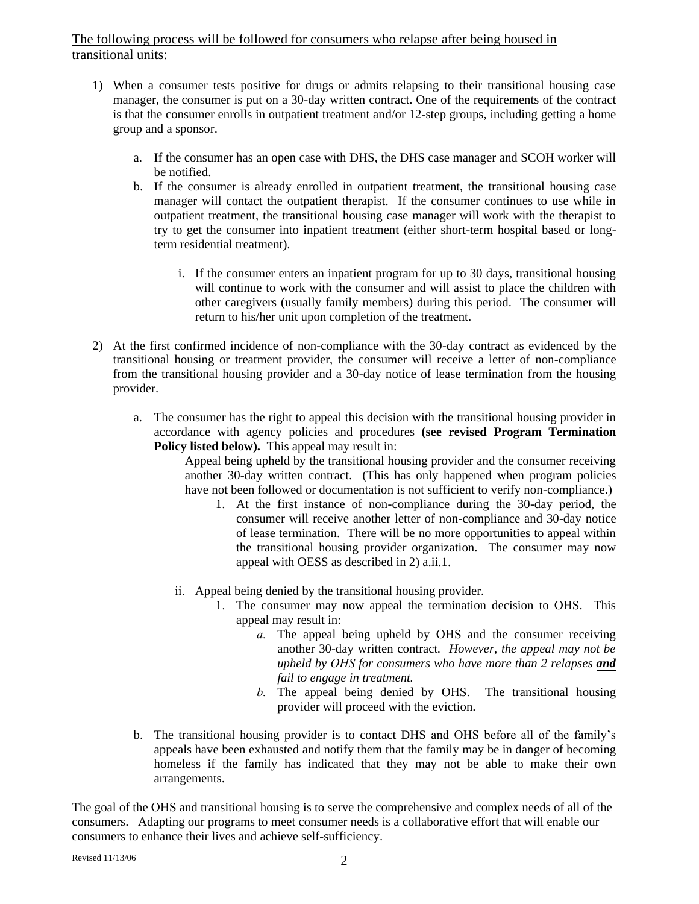## The following process will be followed for consumers who relapse after being housed in transitional units:

- 1) When a consumer tests positive for drugs or admits relapsing to their transitional housing case manager, the consumer is put on a 30-day written contract. One of the requirements of the contract is that the consumer enrolls in outpatient treatment and/or 12-step groups, including getting a home group and a sponsor.
	- a. If the consumer has an open case with DHS, the DHS case manager and SCOH worker will be notified.
	- b. If the consumer is already enrolled in outpatient treatment, the transitional housing case manager will contact the outpatient therapist. If the consumer continues to use while in outpatient treatment, the transitional housing case manager will work with the therapist to try to get the consumer into inpatient treatment (either short-term hospital based or longterm residential treatment).
		- i. If the consumer enters an inpatient program for up to 30 days, transitional housing will continue to work with the consumer and will assist to place the children with other caregivers (usually family members) during this period. The consumer will return to his/her unit upon completion of the treatment.
- 2) At the first confirmed incidence of non-compliance with the 30-day contract as evidenced by the transitional housing or treatment provider, the consumer will receive a letter of non-compliance from the transitional housing provider and a 30-day notice of lease termination from the housing provider.
	- a. The consumer has the right to appeal this decision with the transitional housing provider in accordance with agency policies and procedures **(see revised Program Termination** Policy listed below). This appeal may result in:

Appeal being upheld by the transitional housing provider and the consumer receiving another 30-day written contract. (This has only happened when program policies have not been followed or documentation is not sufficient to verify non-compliance.)

- 1. At the first instance of non-compliance during the 30-day period, the consumer will receive another letter of non-compliance and 30-day notice of lease termination. There will be no more opportunities to appeal within the transitional housing provider organization. The consumer may now appeal with OESS as described in 2) a.ii.1.
- ii. Appeal being denied by the transitional housing provider.
	- 1. The consumer may now appeal the termination decision to OHS. This appeal may result in:
		- *a.* The appeal being upheld by OHS and the consumer receiving another 30-day written contract*. However, the appeal may not be upheld by OHS for consumers who have more than 2 relapses and fail to engage in treatment.*
		- *b.* The appeal being denied by OHS. The transitional housing provider will proceed with the eviction.
- b. The transitional housing provider is to contact DHS and OHS before all of the family's appeals have been exhausted and notify them that the family may be in danger of becoming homeless if the family has indicated that they may not be able to make their own arrangements.

The goal of the OHS and transitional housing is to serve the comprehensive and complex needs of all of the consumers. Adapting our programs to meet consumer needs is a collaborative effort that will enable our consumers to enhance their lives and achieve self-sufficiency.